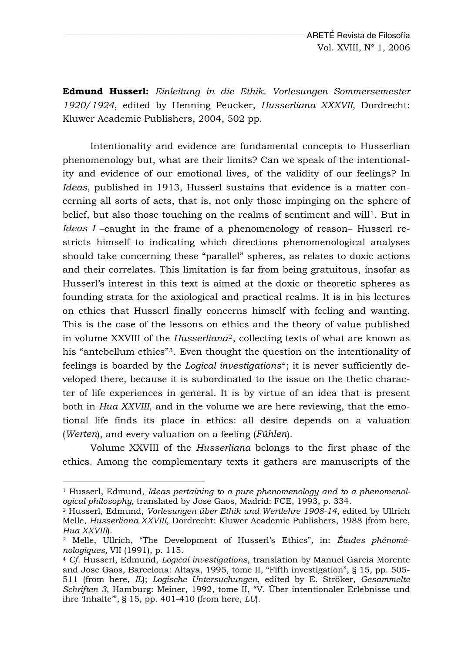**Edmund Husserl:** *Einleitung in die Ethik. Vorlesungen Sommersemester 1920/1924*, edited by Henning Peucker, *Husserliana XXXVII*, Dordrecht: Kluwer Academic Publishers, 2004, 502 pp.

Intentionality and evidence are fundamental concepts to Husserlian phenomenology but, what are their limits? Can we speak of the intentionality and evidence of our emotional lives, of the validity of our feelings? In *Ideas*, published in 1913, Husserl sustains that evidence is a matter concerning all sorts of acts, that is, not only those impinging on the sphere of belief, but also those touching on the realms of sentiment and will<sup>[1](#page-0-0)</sup>. But in *Ideas I* –caught in the frame of a phenomenology of reason– Husserl restricts himself to indicating which directions phenomenological analyses should take concerning these "parallel" spheres, as relates to doxic actions and their correlates. This limitation is far from being gratuitous, insofar as Husserl's interest in this text is aimed at the doxic or theoretic spheres as founding strata for the axiological and practical realms. It is in his lectures on ethics that Husserl finally concerns himself with feeling and wanting. This is the case of the lessons on ethics and the theory of value published in volume XXVIII of the *Husserliana*[2](#page-0-1), collecting texts of what are known as his "antebellum ethics"<sup>[3](#page-0-2)</sup>. Even thought the question on the intentionality of feelings is boarded by the *Logical investigations*[4](#page-0-3); it is never sufficiently developed there, because it is subordinated to the issue on the thetic character of life experiences in general. It is by virtue of an idea that is present both in *Hua XXVIII*, and in the volume we are here reviewing, that the emotional life finds its place in ethics: all desire depends on a valuation (*Werten*), and every valuation on a feeling (*Fühlen*).

Volume XXVIII of the *Husserliana* belongs to the first phase of the ethics. Among the complementary texts it gathers are manuscripts of the

<span id="page-0-0"></span><sup>1</sup> Husserl, Edmund, *Ideas pertaining to a pure phenomenology and to a phenomenological philosophy,* translated by Jose Gaos, Madrid: FCE, 1993, p. 334. 2 Husserl, Edmund, *Vorlesungen über Ethik und Wertlehre 1908-14*, edited by Ullrich

<span id="page-0-1"></span>Melle, *Husserliana XXVIII*, Dordrecht: Kluwer Academic Publishers, 1988 (from here, *Hua XXVIII*). 3 Melle, Ullrich, "The Development of Husserl's Ethics"*,* in: *Études phénomé-*

<span id="page-0-2"></span>*nologiques,* VII (1991), p. 115. 4 *Cf*. Husserl, Edmund, *Logical investigations*, translation by Manuel Garcia Morente

<span id="page-0-3"></span>and Jose Gaos, Barcelona: Altaya, 1995, tome II, "Fifth investigation", § 15, pp. 505- 511 (from here, *IL*); *Logische Untersuchungen*, edited by E. Ströker, *Gesammelte Schriften 3*, Hamburg: Meiner, 1992, tome II, "V. Über intentionaler Erlebnisse und ihre 'Inhalte'", § 15, pp. 401-410 (from here, *LU*).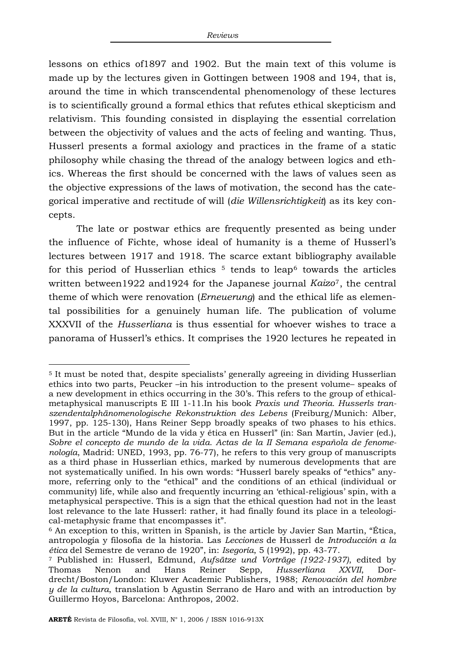lessons on ethics of1897 and 1902. But the main text of this volume is made up by the lectures given in Gottingen between 1908 and 194, that is, around the time in which transcendental phenomenology of these lectures is to scientifically ground a formal ethics that refutes ethical skepticism and relativism. This founding consisted in displaying the essential correlation between the objectivity of values and the acts of feeling and wanting. Thus, Husserl presents a formal axiology and practices in the frame of a static philosophy while chasing the thread of the analogy between logics and ethics. Whereas the first should be concerned with the laws of values seen as the objective expressions of the laws of motivation, the second has the categorical imperative and rectitude of will (*die Willensrichtigkeit*) as its key concepts.

The late or postwar ethics are frequently presented as being under the influence of Fichte, whose ideal of humanity is a theme of Husserl's lectures between 1917 and 1918. The scarce extant bibliography available for this period of Husserlian ethics  $5$  tends to leap<sup>[6](#page-1-1)</sup> towards the articles written between1922 and1924 for the Japanese journal *Kaizo*[7](#page-1-2), the central theme of which were renovation (*Erneuerung*) and the ethical life as elemental possibilities for a genuinely human life. The publication of volume XXXVII of the *Husserliana* is thus essential for whoever wishes to trace a panorama of Husserl's ethics. It comprises the 1920 lectures he repeated in

j

<span id="page-1-0"></span><sup>5</sup> It must be noted that, despite specialists' generally agreeing in dividing Husserlian ethics into two parts, Peucker –in his introduction to the present volume– speaks of a new development in ethics occurring in the 30's. This refers to the group of ethicalmetaphysical manuscripts E III 1-11.In his book *Praxis und Theoria. Husserls transzendentalphänomenologische Rekonstruktion des Lebens* (Freiburg/Munich: Alber, 1997, pp. 125-130), Hans Reiner Sepp broadly speaks of two phases to his ethics. But in the article "Mundo de la vida y ética en Husserl" (in: San Martín, Javier (ed.), *Sobre el concepto de mundo de la vida. Actas de la II Semana española de fenomenología*, Madrid: UNED, 1993, pp. 76-77), he refers to this very group of manuscripts as a third phase in Husserlian ethics, marked by numerous developments that are not systematically unified. In his own words: "Husserl barely speaks of "ethics" anymore, referring only to the "ethical" and the conditions of an ethical (individual or community) life, while also and frequently incurring an 'ethical-religious' spin, with a metaphysical perspective. This is a sign that the ethical question had not in the least lost relevance to the late Husserl: rather, it had finally found its place in a teleological-metaphysic frame that encompasses it".

<span id="page-1-1"></span><sup>6</sup> An exception to this, written in Spanish, is the article by Javier San Martin, "Ética, antropología y filosofía de la historia. Las *Lecciones* de Husserl de *Introducción a la ética* del Semestre de verano de 1920", in: *Isegoría*, 5 (1992), pp. 43-77. 7 Published in: Husserl, Edmund, *Aufsätze und Vorträge (1922-1937)*, edited by

<span id="page-1-2"></span>Thomas Nenon and Hans Reiner Sepp, *Husserliana XXVII*, Dordrecht/Boston/London: Kluwer Academic Publishers, 1988; *Renovación del hombre y de la cultura*, translation b Agustin Serrano de Haro and with an introduction by Guillermo Hoyos, Barcelona: Anthropos, 2002.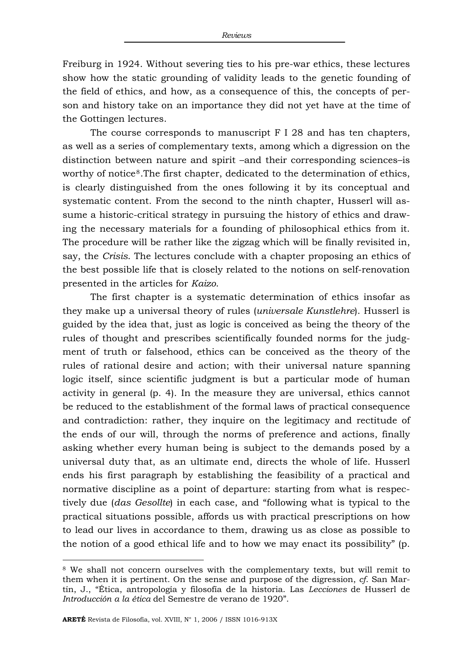Freiburg in 1924. Without severing ties to his pre-war ethics, these lectures show how the static grounding of validity leads to the genetic founding of the field of ethics, and how, as a consequence of this, the concepts of person and history take on an importance they did not yet have at the time of the Gottingen lectures.

The course corresponds to manuscript F I 28 and has ten chapters, as well as a series of complementary texts, among which a digression on the distinction between nature and spirit –and their corresponding sciences–is worthy of notice<sup>[8](#page-2-0)</sup>. The first chapter, dedicated to the determination of ethics, is clearly distinguished from the ones following it by its conceptual and systematic content. From the second to the ninth chapter, Husserl will assume a historic-critical strategy in pursuing the history of ethics and drawing the necessary materials for a founding of philosophical ethics from it. The procedure will be rather like the zigzag which will be finally revisited in, say, the *Crisis*. The lectures conclude with a chapter proposing an ethics of the best possible life that is closely related to the notions on self-renovation presented in the articles for *Kaizo*.

The first chapter is a systematic determination of ethics insofar as they make up a universal theory of rules (*universale Kunstlehre*). Husserl is guided by the idea that, just as logic is conceived as being the theory of the rules of thought and prescribes scientifically founded norms for the judgment of truth or falsehood, ethics can be conceived as the theory of the rules of rational desire and action; with their universal nature spanning logic itself, since scientific judgment is but a particular mode of human activity in general (p. 4). In the measure they are universal, ethics cannot be reduced to the establishment of the formal laws of practical consequence and contradiction: rather, they inquire on the legitimacy and rectitude of the ends of our will, through the norms of preference and actions, finally asking whether every human being is subject to the demands posed by a universal duty that, as an ultimate end, directs the whole of life. Husserl ends his first paragraph by establishing the feasibility of a practical and normative discipline as a point of departure: starting from what is respectively due (*das Gesollte*) in each case, and "following what is typical to the practical situations possible, affords us with practical prescriptions on how to lead our lives in accordance to them, drawing us as close as possible to the notion of a good ethical life and to how we may enact its possibility" (p.

<span id="page-2-0"></span><sup>8</sup> We shall not concern ourselves with the complementary texts, but will remit to them when it is pertinent. On the sense and purpose of the digression, *cf*. San Martín, J., "Ética, antropología y filosofía de la historia. Las *Lecciones* de Husserl de *Introducción a la ética* del Semestre de verano de 1920".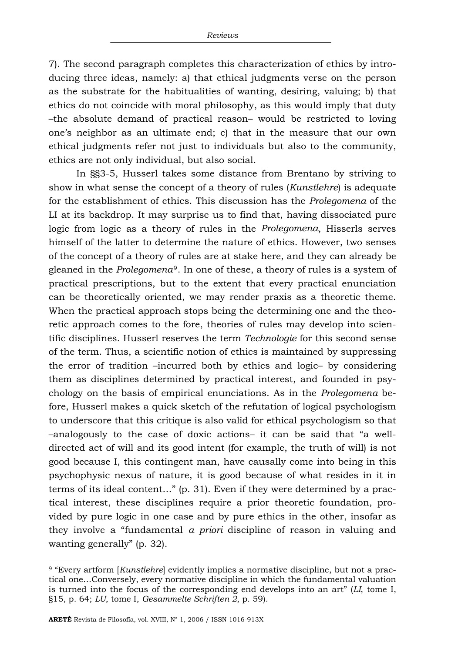7). The second paragraph completes this characterization of ethics by introducing three ideas, namely: a) that ethical judgments verse on the person as the substrate for the habitualities of wanting, desiring, valuing; b) that ethics do not coincide with moral philosophy, as this would imply that duty –the absolute demand of practical reason– would be restricted to loving one's neighbor as an ultimate end; c) that in the measure that our own ethical judgments refer not just to individuals but also to the community, ethics are not only individual, but also social.

In §§3-5, Husserl takes some distance from Brentano by striving to show in what sense the concept of a theory of rules (*Kunstlehre*) is adequate for the establishment of ethics. This discussion has the *Prolegomena* of the LI at its backdrop. It may surprise us to find that, having dissociated pure logic from logic as a theory of rules in the *Prolegomena*, Hisserls serves himself of the latter to determine the nature of ethics. However, two senses of the concept of a theory of rules are at stake here, and they can already be gleaned in the *Prolegomena*[9](#page-3-0). In one of these, a theory of rules is a system of practical prescriptions, but to the extent that every practical enunciation can be theoretically oriented, we may render praxis as a theoretic theme. When the practical approach stops being the determining one and the theoretic approach comes to the fore, theories of rules may develop into scientific disciplines. Husserl reserves the term *Technologie* for this second sense of the term. Thus, a scientific notion of ethics is maintained by suppressing the error of tradition –incurred both by ethics and logic– by considering them as disciplines determined by practical interest, and founded in psychology on the basis of empirical enunciations. As in the *Prolegomena* before, Husserl makes a quick sketch of the refutation of logical psychologism to underscore that this critique is also valid for ethical psychologism so that –analogously to the case of doxic actions– it can be said that "a welldirected act of will and its good intent (for example, the truth of will) is not good because I, this contingent man, have causally come into being in this psychophysic nexus of nature, it is good because of what resides in it in terms of its ideal content…" (p. 31). Even if they were determined by a practical interest, these disciplines require a prior theoretic foundation, provided by pure logic in one case and by pure ethics in the other, insofar as they involve a "fundamental *a priori* discipline of reason in valuing and wanting generally" (p. 32).

j

<span id="page-3-0"></span><sup>9 &</sup>quot;Every artform [*Kunstlehre*] evidently implies a normative discipline, but not a practical one…Conversely, every normative discipline in which the fundamental valuation is turned into the focus of the corresponding end develops into an art" (*LI*, tome I, §15, p. 64; *LU*, tome I, *Gesammelte Schriften 2*, p. 59).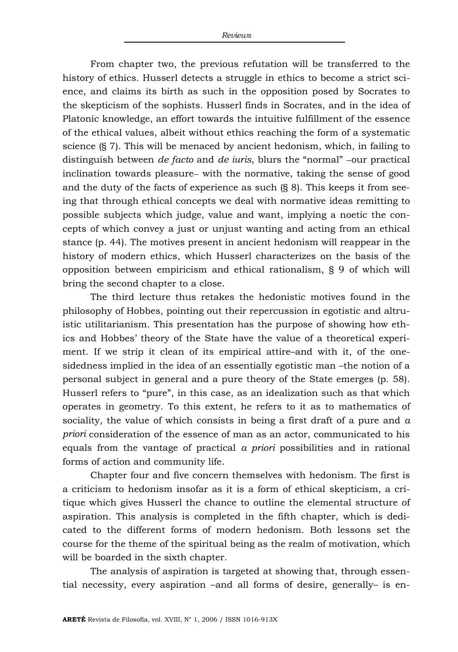From chapter two, the previous refutation will be transferred to the history of ethics. Husserl detects a struggle in ethics to become a strict science, and claims its birth as such in the opposition posed by Socrates to the skepticism of the sophists. Husserl finds in Socrates, and in the idea of Platonic knowledge, an effort towards the intuitive fulfillment of the essence of the ethical values, albeit without ethics reaching the form of a systematic science (§ 7). This will be menaced by ancient hedonism, which, in failing to distinguish between *de facto* and *de iuris*, blurs the "normal" −our practical inclination towards pleasure− with the normative, taking the sense of good and the duty of the facts of experience as such (§ 8). This keeps it from seeing that through ethical concepts we deal with normative ideas remitting to possible subjects which judge, value and want, implying a noetic the concepts of which convey a just or unjust wanting and acting from an ethical stance (p. 44). The motives present in ancient hedonism will reappear in the history of modern ethics, which Husserl characterizes on the basis of the opposition between empiricism and ethical rationalism, § 9 of which will bring the second chapter to a close.

The third lecture thus retakes the hedonistic motives found in the philosophy of Hobbes, pointing out their repercussion in egotistic and altruistic utilitarianism. This presentation has the purpose of showing how ethics and Hobbes' theory of the State have the value of a theoretical experiment. If we strip it clean of its empirical attire–and with it, of the onesidedness implied in the idea of an essentially egotistic man –the notion of a personal subject in general and a pure theory of the State emerges (p. 58). Husserl refers to "pure", in this case, as an idealization such as that which operates in geometry. To this extent, he refers to it as to mathematics of sociality, the value of which consists in being a first draft of a pure and *a priori* consideration of the essence of man as an actor, communicated to his equals from the vantage of practical *a priori* possibilities and in rational forms of action and community life.

Chapter four and five concern themselves with hedonism. The first is a criticism to hedonism insofar as it is a form of ethical skepticism, a critique which gives Husserl the chance to outline the elemental structure of aspiration. This analysis is completed in the fifth chapter, which is dedicated to the different forms of modern hedonism. Both lessons set the course for the theme of the spiritual being as the realm of motivation, which will be boarded in the sixth chapter.

The analysis of aspiration is targeted at showing that, through essential necessity, every aspiration –and all forms of desire, generally– is en-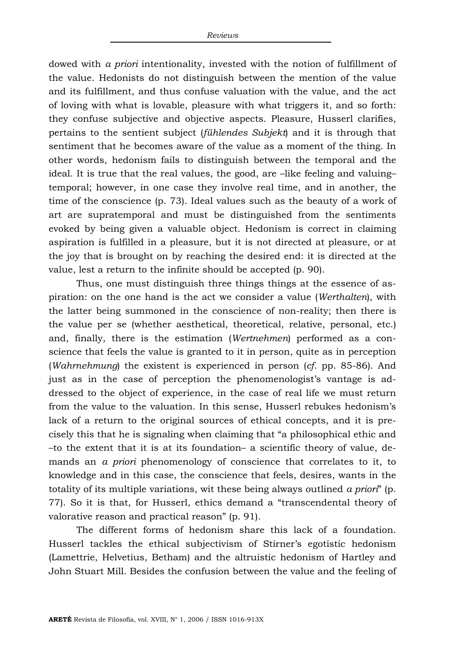dowed with *a priori* intentionality, invested with the notion of fulfillment of the value. Hedonists do not distinguish between the mention of the value and its fulfillment, and thus confuse valuation with the value, and the act of loving with what is lovable, pleasure with what triggers it, and so forth: they confuse subjective and objective aspects. Pleasure, Husserl clarifies, pertains to the sentient subject (*fühlendes Subjekt*) and it is through that sentiment that he becomes aware of the value as a moment of the thing. In other words, hedonism fails to distinguish between the temporal and the ideal. It is true that the real values, the good, are –like feeling and valuing– temporal; however, in one case they involve real time, and in another, the time of the conscience (p. 73). Ideal values such as the beauty of a work of art are supratemporal and must be distinguished from the sentiments evoked by being given a valuable object. Hedonism is correct in claiming aspiration is fulfilled in a pleasure, but it is not directed at pleasure, or at the joy that is brought on by reaching the desired end: it is directed at the value, lest a return to the infinite should be accepted (p. 90).

Thus, one must distinguish three things things at the essence of aspiration: on the one hand is the act we consider a value (*Werthalten*), with the latter being summoned in the conscience of non-reality; then there is the value per se (whether aesthetical, theoretical, relative, personal, etc.) and, finally, there is the estimation (*Wertnehmen*) performed as a conscience that feels the value is granted to it in person, quite as in perception (*Wahrnehmung*) the existent is experienced in person (*cf*. pp. 85-86). And just as in the case of perception the phenomenologist's vantage is addressed to the object of experience, in the case of real life we must return from the value to the valuation. In this sense, Husserl rebukes hedonism's lack of a return to the original sources of ethical concepts, and it is precisely this that he is signaling when claiming that "a philosophical ethic and –to the extent that it is at its foundation– a scientific theory of value, demands an *a priori* phenomenology of conscience that correlates to it, to knowledge and in this case, the conscience that feels, desires, wants in the totality of its multiple variations, wit these being always outlined *a priori*" (p. 77). So it is that, for Husserl, ethics demand a "transcendental theory of valorative reason and practical reason" (p. 91).

The different forms of hedonism share this lack of a foundation. Husserl tackles the ethical subjectivism of Stirner's egotistic hedonism (Lamettrie, Helvetius, Betham) and the altruistic hedonism of Hartley and John Stuart Mill. Besides the confusion between the value and the feeling of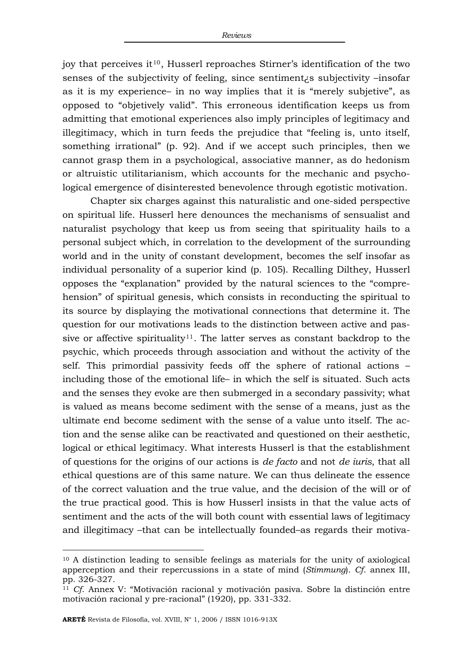joy that perceives it<sup>[10](#page-6-0)</sup>, Husserl reproaches Stirner's identification of the two senses of the subjectivity of feeling, since sentiment¿s subjectivity –insofar as it is my experience– in no way implies that it is "merely subjetive", as opposed to "objetively valid". This erroneous identification keeps us from admitting that emotional experiences also imply principles of legitimacy and illegitimacy, which in turn feeds the prejudice that "feeling is, unto itself, something irrational" (p. 92). And if we accept such principles, then we cannot grasp them in a psychological, associative manner, as do hedonism or altruistic utilitarianism, which accounts for the mechanic and psychological emergence of disinterested benevolence through egotistic motivation.

Chapter six charges against this naturalistic and one-sided perspective on spiritual life. Husserl here denounces the mechanisms of sensualist and naturalist psychology that keep us from seeing that spirituality hails to a personal subject which, in correlation to the development of the surrounding world and in the unity of constant development, becomes the self insofar as individual personality of a superior kind (p. 105). Recalling Dilthey, Husserl opposes the "explanation" provided by the natural sciences to the "comprehension" of spiritual genesis, which consists in reconducting the spiritual to its source by displaying the motivational connections that determine it. The question for our motivations leads to the distinction between active and pas-sive or affective spirituality<sup>[11](#page-6-1)</sup>. The latter serves as constant backdrop to the psychic, which proceeds through association and without the activity of the self. This primordial passivity feeds off the sphere of rational actions – including those of the emotional life– in which the self is situated. Such acts and the senses they evoke are then submerged in a secondary passivity; what is valued as means become sediment with the sense of a means, just as the ultimate end become sediment with the sense of a value unto itself. The action and the sense alike can be reactivated and questioned on their aesthetic, logical or ethical legitimacy. What interests Husserl is that the establishment of questions for the origins of our actions is *de facto* and not *de iuris*, that all ethical questions are of this same nature. We can thus delineate the essence of the correct valuation and the true value, and the decision of the will or of the true practical good. This is how Husserl insists in that the value acts of sentiment and the acts of the will both count with essential laws of legitimacy and illegitimacy –that can be intellectually founded–as regards their motiva-

<span id="page-6-0"></span><sup>10</sup> A distinction leading to sensible feelings as materials for the unity of axiological apperception and their repercussions in a state of mind (*Stimmung*). *Cf*. annex III, pp. 326-327.

<span id="page-6-1"></span><sup>11</sup> *Cf*. Annex V: "Motivación racional y motivación pasiva. Sobre la distinción entre motivación racional y pre-racional" (1920), pp. 331-332.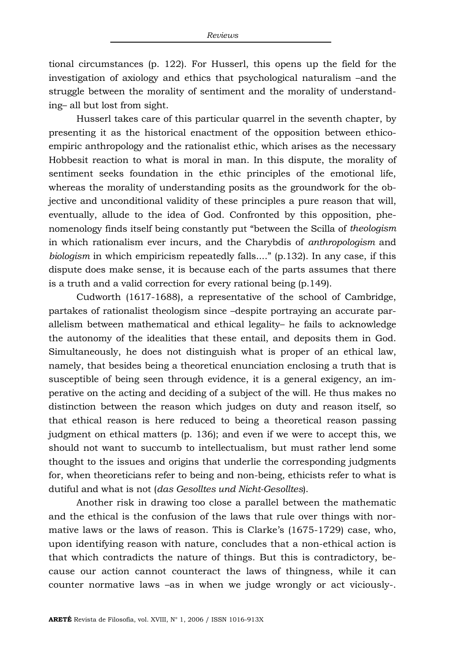tional circumstances (p. 122). For Husserl, this opens up the field for the investigation of axiology and ethics that psychological naturalism –and the struggle between the morality of sentiment and the morality of understanding– all but lost from sight.

Husserl takes care of this particular quarrel in the seventh chapter, by presenting it as the historical enactment of the opposition between ethicoempiric anthropology and the rationalist ethic, which arises as the necessary Hobbesit reaction to what is moral in man. In this dispute, the morality of sentiment seeks foundation in the ethic principles of the emotional life, whereas the morality of understanding posits as the groundwork for the objective and unconditional validity of these principles a pure reason that will, eventually, allude to the idea of God. Confronted by this opposition, phenomenology finds itself being constantly put "between the Scilla of *theologism* in which rationalism ever incurs, and the Charybdis of *anthropologism* and *biologism* in which empiricism repeatedly falls...." (p.132). In any case, if this dispute does make sense, it is because each of the parts assumes that there is a truth and a valid correction for every rational being (p.149).

Cudworth (1617-1688), a representative of the school of Cambridge, partakes of rationalist theologism since –despite portraying an accurate parallelism between mathematical and ethical legality– he fails to acknowledge the autonomy of the idealities that these entail, and deposits them in God. Simultaneously, he does not distinguish what is proper of an ethical law, namely, that besides being a theoretical enunciation enclosing a truth that is susceptible of being seen through evidence, it is a general exigency, an imperative on the acting and deciding of a subject of the will. He thus makes no distinction between the reason which judges on duty and reason itself, so that ethical reason is here reduced to being a theoretical reason passing judgment on ethical matters (p. 136); and even if we were to accept this, we should not want to succumb to intellectualism, but must rather lend some thought to the issues and origins that underlie the corresponding judgments for, when theoreticians refer to being and non-being, ethicists refer to what is dutiful and what is not (*das Gesolltes und Nicht-Gesolltes*).

Another risk in drawing too close a parallel between the mathematic and the ethical is the confusion of the laws that rule over things with normative laws or the laws of reason. This is Clarke's (1675-1729) case, who, upon identifying reason with nature, concludes that a non-ethical action is that which contradicts the nature of things. But this is contradictory, because our action cannot counteract the laws of thingness, while it can counter normative laws –as in when we judge wrongly or act viciously-.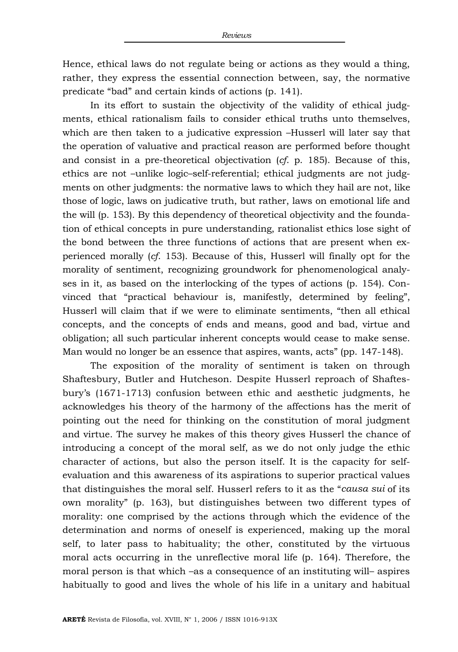Hence, ethical laws do not regulate being or actions as they would a thing, rather, they express the essential connection between, say, the normative predicate "bad" and certain kinds of actions (p. 141).

In its effort to sustain the objectivity of the validity of ethical judgments, ethical rationalism fails to consider ethical truths unto themselves, which are then taken to a judicative expression –Husserl will later say that the operation of valuative and practical reason are performed before thought and consist in a pre-theoretical objectivation (*cf*. p. 185). Because of this, ethics are not –unlike logic–self-referential; ethical judgments are not judgments on other judgments: the normative laws to which they hail are not, like those of logic, laws on judicative truth, but rather, laws on emotional life and the will (p. 153). By this dependency of theoretical objectivity and the foundation of ethical concepts in pure understanding, rationalist ethics lose sight of the bond between the three functions of actions that are present when experienced morally (*cf*. 153). Because of this, Husserl will finally opt for the morality of sentiment, recognizing groundwork for phenomenological analyses in it, as based on the interlocking of the types of actions (p. 154). Convinced that "practical behaviour is, manifestly, determined by feeling", Husserl will claim that if we were to eliminate sentiments, "then all ethical concepts, and the concepts of ends and means, good and bad, virtue and obligation; all such particular inherent concepts would cease to make sense. Man would no longer be an essence that aspires, wants, acts" (pp. 147-148).

The exposition of the morality of sentiment is taken on through Shaftesbury, Butler and Hutcheson. Despite Husserl reproach of Shaftesbury's (1671-1713) confusion between ethic and aesthetic judgments, he acknowledges his theory of the harmony of the affections has the merit of pointing out the need for thinking on the constitution of moral judgment and virtue. The survey he makes of this theory gives Husserl the chance of introducing a concept of the moral self, as we do not only judge the ethic character of actions, but also the person itself. It is the capacity for selfevaluation and this awareness of its aspirations to superior practical values that distinguishes the moral self. Husserl refers to it as the "*causa sui* of its own morality" (p. 163), but distinguishes between two different types of morality: one comprised by the actions through which the evidence of the determination and norms of oneself is experienced, making up the moral self, to later pass to habituality; the other, constituted by the virtuous moral acts occurring in the unreflective moral life (p. 164). Therefore, the moral person is that which –as a consequence of an instituting will– aspires habitually to good and lives the whole of his life in a unitary and habitual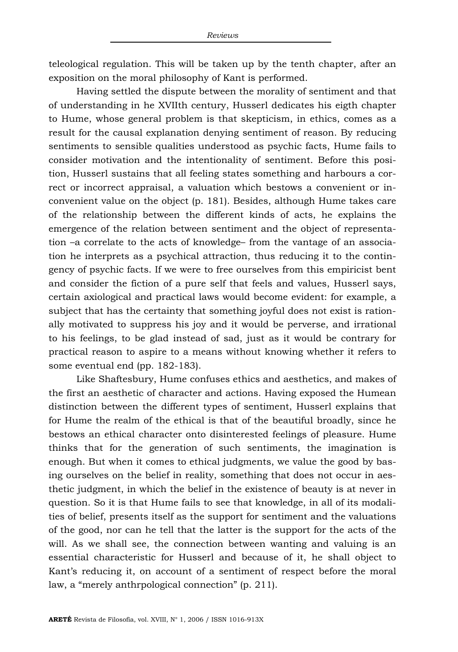teleological regulation. This will be taken up by the tenth chapter, after an exposition on the moral philosophy of Kant is performed.

Having settled the dispute between the morality of sentiment and that of understanding in he XVIIth century, Husserl dedicates his eigth chapter to Hume, whose general problem is that skepticism, in ethics, comes as a result for the causal explanation denying sentiment of reason. By reducing sentiments to sensible qualities understood as psychic facts, Hume fails to consider motivation and the intentionality of sentiment. Before this position, Husserl sustains that all feeling states something and harbours a correct or incorrect appraisal, a valuation which bestows a convenient or inconvenient value on the object (p. 181). Besides, although Hume takes care of the relationship between the different kinds of acts, he explains the emergence of the relation between sentiment and the object of representation –a correlate to the acts of knowledge– from the vantage of an association he interprets as a psychical attraction, thus reducing it to the contingency of psychic facts. If we were to free ourselves from this empiricist bent and consider the fiction of a pure self that feels and values, Husserl says, certain axiological and practical laws would become evident: for example, a subject that has the certainty that something joyful does not exist is rationally motivated to suppress his joy and it would be perverse, and irrational to his feelings, to be glad instead of sad, just as it would be contrary for practical reason to aspire to a means without knowing whether it refers to some eventual end (pp. 182-183).

Like Shaftesbury, Hume confuses ethics and aesthetics, and makes of the first an aesthetic of character and actions. Having exposed the Humean distinction between the different types of sentiment, Husserl explains that for Hume the realm of the ethical is that of the beautiful broadly, since he bestows an ethical character onto disinterested feelings of pleasure. Hume thinks that for the generation of such sentiments, the imagination is enough. But when it comes to ethical judgments, we value the good by basing ourselves on the belief in reality, something that does not occur in aesthetic judgment, in which the belief in the existence of beauty is at never in question. So it is that Hume fails to see that knowledge, in all of its modalities of belief, presents itself as the support for sentiment and the valuations of the good, nor can he tell that the latter is the support for the acts of the will. As we shall see, the connection between wanting and valuing is an essential characteristic for Husserl and because of it, he shall object to Kant's reducing it, on account of a sentiment of respect before the moral law, a "merely anthrpological connection" (p. 211).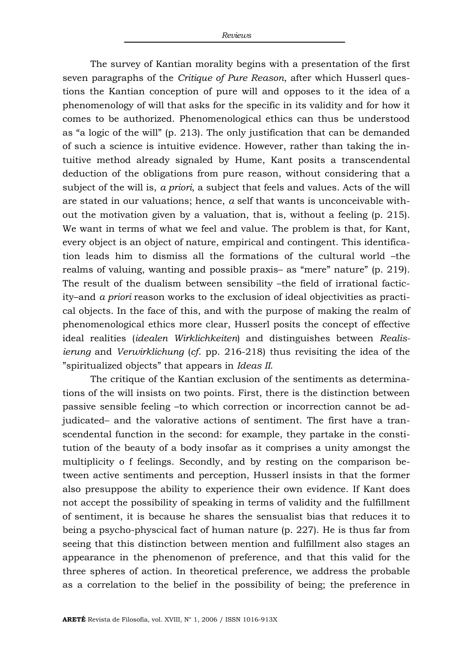The survey of Kantian morality begins with a presentation of the first seven paragraphs of the *Critique of Pure Reason*, after which Husserl questions the Kantian conception of pure will and opposes to it the idea of a phenomenology of will that asks for the specific in its validity and for how it comes to be authorized. Phenomenological ethics can thus be understood as "a logic of the will" (p. 213). The only justification that can be demanded of such a science is intuitive evidence. However, rather than taking the intuitive method already signaled by Hume, Kant posits a transcendental deduction of the obligations from pure reason, without considering that a subject of the will is, *a priori*, a subject that feels and values. Acts of the will are stated in our valuations; hence, *a* self that wants is unconceivable without the motivation given by a valuation, that is, without a feeling (p. 215). We want in terms of what we feel and value. The problem is that, for Kant, every object is an object of nature, empirical and contingent. This identification leads him to dismiss all the formations of the cultural world –the realms of valuing, wanting and possible praxis– as "mere" nature" (p. 219). The result of the dualism between sensibility –the field of irrational facticity–and *a priori* reason works to the exclusion of ideal objectivities as practical objects. In the face of this, and with the purpose of making the realm of phenomenological ethics more clear, Husserl posits the concept of effective ideal realities (*idealen Wirklichkeiten*) and distinguishes between *Realisierung* and *Verwirklichung* (*cf*. pp. 216-218) thus revisiting the idea of the "spiritualized objects" that appears in *Ideas II*.

The critique of the Kantian exclusion of the sentiments as determinations of the will insists on two points. First, there is the distinction between passive sensible feeling –to which correction or incorrection cannot be adjudicated– and the valorative actions of sentiment. The first have a transcendental function in the second: for example, they partake in the constitution of the beauty of a body insofar as it comprises a unity amongst the multiplicity o f feelings. Secondly, and by resting on the comparison between active sentiments and perception, Husserl insists in that the former also presuppose the ability to experience their own evidence. If Kant does not accept the possibility of speaking in terms of validity and the fulfillment of sentiment, it is because he shares the sensualist bias that reduces it to being a psycho-physcical fact of human nature (p. 227). He is thus far from seeing that this distinction between mention and fulfillment also stages an appearance in the phenomenon of preference, and that this valid for the three spheres of action. In theoretical preference, we address the probable as a correlation to the belief in the possibility of being; the preference in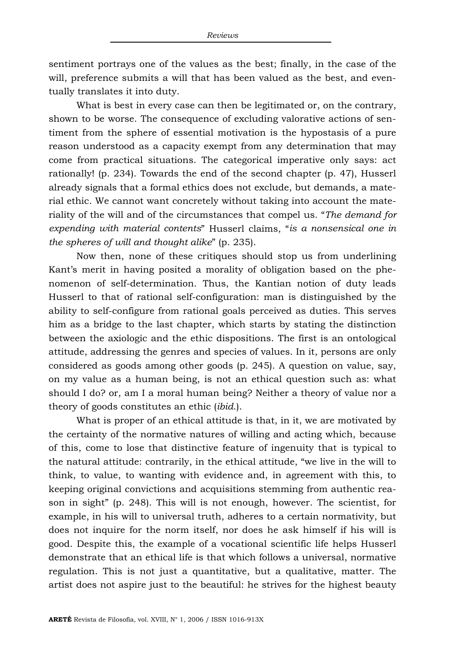sentiment portrays one of the values as the best; finally, in the case of the will, preference submits a will that has been valued as the best, and eventually translates it into duty.

What is best in every case can then be legitimated or, on the contrary, shown to be worse. The consequence of excluding valorative actions of sentiment from the sphere of essential motivation is the hypostasis of a pure reason understood as a capacity exempt from any determination that may come from practical situations. The categorical imperative only says: act rationally! (p. 234). Towards the end of the second chapter (p. 47), Husserl already signals that a formal ethics does not exclude, but demands, a material ethic. We cannot want concretely without taking into account the materiality of the will and of the circumstances that compel us. "*The demand for expending with material contents*" Husserl claims, "*is a nonsensical one in the spheres of will and thought alike*" (p. 235).

Now then, none of these critiques should stop us from underlining Kant's merit in having posited a morality of obligation based on the phenomenon of self-determination. Thus, the Kantian notion of duty leads Husserl to that of rational self-configuration: man is distinguished by the ability to self-configure from rational goals perceived as duties. This serves him as a bridge to the last chapter, which starts by stating the distinction between the axiologic and the ethic dispositions. The first is an ontological attitude, addressing the genres and species of values. In it, persons are only considered as goods among other goods (p. 245). A question on value, say, on my value as a human being, is not an ethical question such as: what should I do? or, am I a moral human being? Neither a theory of value nor a theory of goods constitutes an ethic (*ibid*.).

What is proper of an ethical attitude is that, in it, we are motivated by the certainty of the normative natures of willing and acting which, because of this, come to lose that distinctive feature of ingenuity that is typical to the natural attitude: contrarily, in the ethical attitude, "we live in the will to think, to value, to wanting with evidence and, in agreement with this, to keeping original convictions and acquisitions stemming from authentic reason in sight" (p. 248). This will is not enough, however. The scientist, for example, in his will to universal truth, adheres to a certain normativity, but does not inquire for the norm itself, nor does he ask himself if his will is good. Despite this, the example of a vocational scientific life helps Husserl demonstrate that an ethical life is that which follows a universal, normative regulation. This is not just a quantitative, but a qualitative, matter. The artist does not aspire just to the beautiful: he strives for the highest beauty